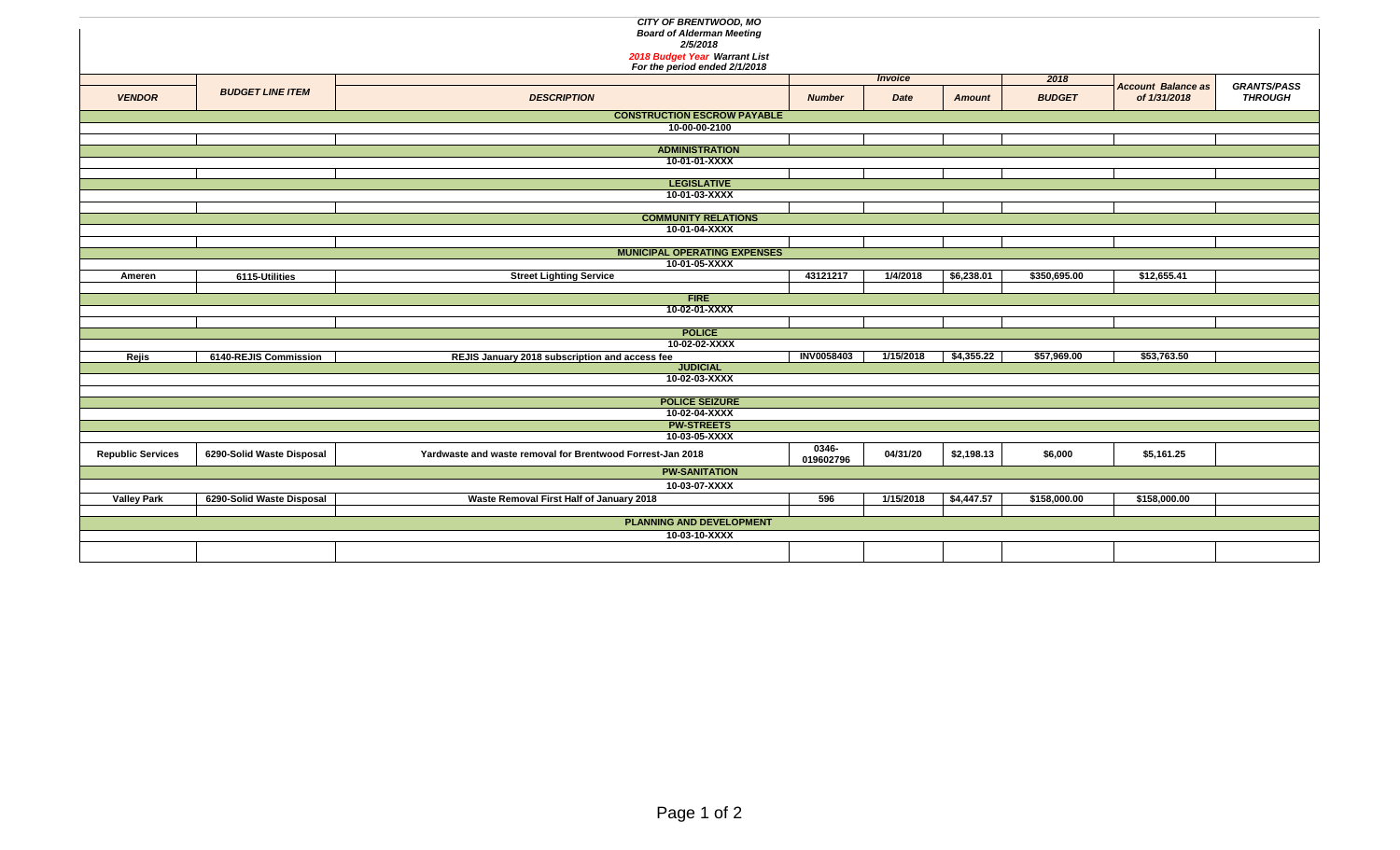|                          |                           | <b>CITY OF BRENTWOOD, MO</b>                                      |                    |                |               |               |                           |                    |  |  |  |  |
|--------------------------|---------------------------|-------------------------------------------------------------------|--------------------|----------------|---------------|---------------|---------------------------|--------------------|--|--|--|--|
|                          |                           | <b>Board of Alderman Meeting</b>                                  |                    |                |               |               |                           |                    |  |  |  |  |
|                          |                           | 2/5/2018                                                          |                    |                |               |               |                           |                    |  |  |  |  |
|                          |                           | 2018 Budget Year Warrant List<br>For the period ended 2/1/2018    |                    |                |               |               |                           |                    |  |  |  |  |
|                          |                           |                                                                   |                    | <b>Invoice</b> |               | 2018          |                           |                    |  |  |  |  |
| <b>VENDOR</b>            | <b>BUDGET LINE ITEM</b>   | <b>DESCRIPTION</b>                                                |                    |                |               |               | <b>Account Balance as</b> | <b>GRANTS/PASS</b> |  |  |  |  |
|                          |                           |                                                                   | <b>Number</b>      | Date           | <b>Amount</b> | <b>BUDGET</b> | of 1/31/2018              | <b>THROUGH</b>     |  |  |  |  |
|                          |                           | <b>CONSTRUCTION ESCROW PAYABLE</b>                                |                    |                |               |               |                           |                    |  |  |  |  |
| 10-00-00-2100            |                           |                                                                   |                    |                |               |               |                           |                    |  |  |  |  |
|                          |                           |                                                                   |                    |                |               |               |                           |                    |  |  |  |  |
|                          |                           | <b>ADMINISTRATION</b>                                             |                    |                |               |               |                           |                    |  |  |  |  |
|                          |                           | 10-01-01-XXXX                                                     |                    |                |               |               |                           |                    |  |  |  |  |
|                          |                           | <b>LEGISLATIVE</b>                                                |                    |                |               |               |                           |                    |  |  |  |  |
|                          |                           | 10-01-03-XXXX                                                     |                    |                |               |               |                           |                    |  |  |  |  |
|                          |                           |                                                                   |                    |                |               |               |                           |                    |  |  |  |  |
|                          |                           | <b>COMMUNITY RELATIONS</b>                                        |                    |                |               |               |                           |                    |  |  |  |  |
|                          |                           | 10-01-04-XXXX                                                     |                    |                |               |               |                           |                    |  |  |  |  |
|                          |                           |                                                                   |                    |                |               |               |                           |                    |  |  |  |  |
|                          |                           | <b>MUNICIPAL OPERATING EXPENSES</b><br>10-01-05-XXXX              |                    |                |               |               |                           |                    |  |  |  |  |
| Ameren                   | 6115-Utilities            | <b>Street Lighting Service</b>                                    | 43121217           | 1/4/2018       | \$6,238.01    | \$350,695.00  | \$12,655.41               |                    |  |  |  |  |
|                          |                           |                                                                   |                    |                |               |               |                           |                    |  |  |  |  |
|                          |                           | <b>FIRE</b>                                                       |                    |                |               |               |                           |                    |  |  |  |  |
|                          |                           | 10-02-01-XXXX                                                     |                    |                |               |               |                           |                    |  |  |  |  |
|                          |                           |                                                                   |                    |                |               |               |                           |                    |  |  |  |  |
|                          |                           | <b>POLICE</b>                                                     |                    |                |               |               |                           |                    |  |  |  |  |
|                          |                           | 10-02-02-XXXX                                                     | <b>INV0058403</b>  | 1/15/2018      | \$4,355.22    | \$57,969.00   | \$53,763.50               |                    |  |  |  |  |
| Rejis                    | 6140-REJIS Commission     | REJIS January 2018 subscription and access fee<br><b>JUDICIAL</b> |                    |                |               |               |                           |                    |  |  |  |  |
|                          |                           | 10-02-03-XXXX                                                     |                    |                |               |               |                           |                    |  |  |  |  |
|                          |                           |                                                                   |                    |                |               |               |                           |                    |  |  |  |  |
|                          |                           | <b>POLICE SEIZURE</b>                                             |                    |                |               |               |                           |                    |  |  |  |  |
|                          |                           | 10-02-04-XXXX                                                     |                    |                |               |               |                           |                    |  |  |  |  |
|                          |                           | <b>PW-STREETS</b>                                                 |                    |                |               |               |                           |                    |  |  |  |  |
|                          |                           | 10-03-05-XXXX                                                     |                    |                |               |               |                           |                    |  |  |  |  |
| <b>Republic Services</b> | 6290-Solid Waste Disposal | Yardwaste and waste removal for Brentwood Forrest-Jan 2018        | 0346-<br>019602796 | 04/31/20       | \$2,198.13    | \$6,000       | \$5,161.25                |                    |  |  |  |  |
|                          |                           | <b>PW-SANITATION</b>                                              |                    |                |               |               |                           |                    |  |  |  |  |
|                          |                           | 10-03-07-XXXX                                                     |                    |                |               |               |                           |                    |  |  |  |  |
| <b>Valley Park</b>       | 6290-Solid Waste Disposal | Waste Removal First Half of January 2018                          | 596                | 1/15/2018      | \$4,447.57    | \$158,000.00  | \$158,000.00              |                    |  |  |  |  |
|                          |                           |                                                                   |                    |                |               |               |                           |                    |  |  |  |  |
|                          |                           | <b>PLANNING AND DEVELOPMENT</b>                                   |                    |                |               |               |                           |                    |  |  |  |  |
|                          |                           | 10-03-10-XXXX                                                     |                    |                |               |               |                           |                    |  |  |  |  |
|                          |                           |                                                                   |                    |                |               |               |                           |                    |  |  |  |  |
|                          |                           |                                                                   |                    |                |               |               |                           |                    |  |  |  |  |